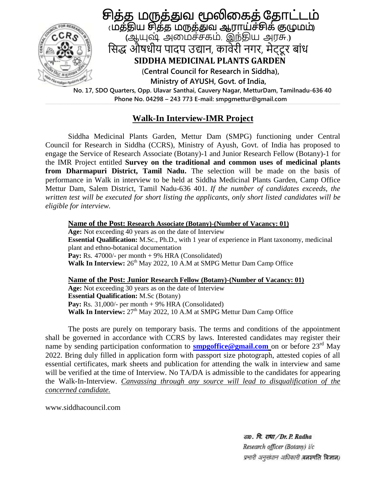

 **Phone No. 04298 – 243 773 E-mail: smpgmettur@gmail.com**

## **Walk-In Interview-IMR Project**

Siddha Medicinal Plants Garden, Mettur Dam (SMPG) functioning under Central Council for Research in Siddha (CCRS), Ministry of Ayush, Govt. of India has proposed to engage the Service of Research Associate (Botany)-1 and Junior Research Fellow (Botany)-1 for the IMR Project entitled **Survey on the traditional and common uses of medicinal plants from Dharmapuri District, Tamil Nadu.** The selection will be made on the basis of performance in Walk in interview to be held at Siddha Medicinal Plants Garden, Camp Office Mettur Dam, Salem District, Tamil Nadu-636 401. *If the number of candidates exceeds, the written test will be executed for short listing the applicants, only short listed candidates will be eligible for interview.*

**Name of the Post: Research Associate (Botany)-(Number of Vacancy: 01) Age:** Not exceeding 40 years as on the date of Interview **Essential Qualification:** M.Sc., Ph.D., with 1 year of experience in Plant taxonomy, medicinal plant and ethno-botanical documentation Pay: Rs. 47000/- per month + 9% HRA (Consolidated) Walk In Interview: 26<sup>th</sup> May 2022, 10 A.M at SMPG Mettur Dam Camp Office

**Name of the Post: Junior Research Fellow (Botany)-(Number of Vacancy: 01) Age:** Not exceeding 30 years as on the date of Interview **Essential Qualification:** M.Sc (Botany) **Pay:** Rs.  $31,000/$ - per month  $+ 9%$  HRA (Consolidated) Walk In Interview: 27<sup>th</sup> May 2022, 10 A.M at SMPG Mettur Dam Camp Office

The posts are purely on temporary basis. The terms and conditions of the appointment shall be governed in accordance with CCRS by laws. Interested candidates may register their name by sending participation conformation to **[smpgoffice@gmail.com](mailto:smpgoffice@gmail.com)** on or before 23<sup>rd</sup> May 2022. Bring duly filled in application form with passport size photograph, attested copies of all essential certificates, mark sheets and publication for attending the walk in interview and same will be verified at the time of Interview. No TA/DA is admissible to the candidates for appearing the Walk-In-Interview. *Canvassing through any source will lead to disqualification of the concerned candidate.* 

www.siddhacouncil.com

डाo. पि. राधा / Dr. P. Radha Research officer (Botany) i/c प्रभारी अनुसंधान अधिकारी बनस्पति विज्ञान)